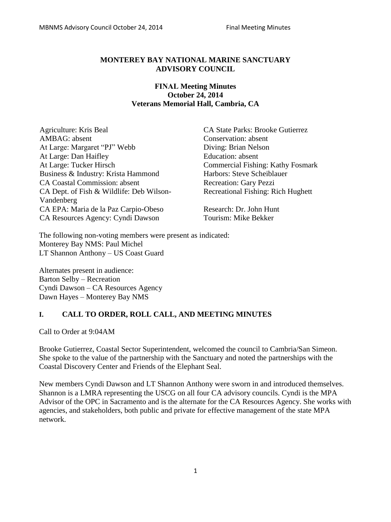#### **MONTEREY BAY NATIONAL MARINE SANCTUARY ADVISORY COUNCIL**

### **FINAL Meeting Minutes October 24, 2014 Veterans Memorial Hall, Cambria, CA**

Agriculture: Kris Beal CA State Parks: Brooke Gutierrez AMBAG: absent Conservation: absent At Large: Margaret "PJ" Webb Diving: Brian Nelson At Large: Dan Haifley Education: absent At Large: Tucker Hirsch Commercial Fishing: Kathy Fosmark Business & Industry: Krista Hammond Harbors: Steve Scheiblauer CA Coastal Commission: absent Recreation: Gary Pezzi CA Dept. of Fish & Wildlife: Deb Wilson-Vandenberg CA EPA: Maria de la Paz Carpio-Obeso Research: Dr. John Hunt CA Resources Agency: Cyndi Dawson Tourism: Mike Bekker

Recreational Fishing: Rich Hughett

The following non-voting members were present as indicated: Monterey Bay NMS: Paul Michel LT Shannon Anthony – US Coast Guard

Alternates present in audience: Barton Selby – Recreation Cyndi Dawson – CA Resources Agency Dawn Hayes – Monterey Bay NMS

## **I. CALL TO ORDER, ROLL CALL, AND MEETING MINUTES**

Call to Order at 9:04AM

Brooke Gutierrez, Coastal Sector Superintendent, welcomed the council to Cambria/San Simeon. She spoke to the value of the partnership with the Sanctuary and noted the partnerships with the Coastal Discovery Center and Friends of the Elephant Seal.

New members Cyndi Dawson and LT Shannon Anthony were sworn in and introduced themselves. Shannon is a LMRA representing the USCG on all four CA advisory councils. Cyndi is the MPA Advisor of the OPC in Sacramento and is the alternate for the CA Resources Agency. She works with agencies, and stakeholders, both public and private for effective management of the state MPA network.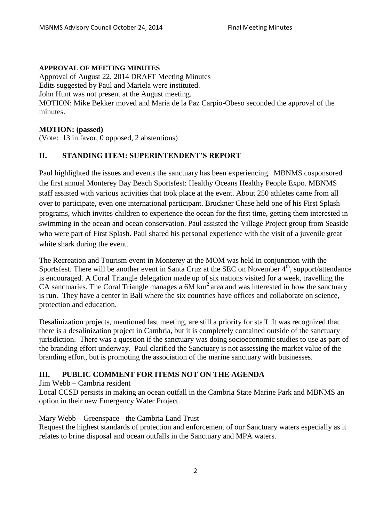#### **APPROVAL OF MEETING MINUTES**

Approval of August 22, 2014 DRAFT Meeting Minutes Edits suggested by Paul and Mariela were instituted. John Hunt was not present at the August meeting. MOTION: Mike Bekker moved and Maria de la Paz Carpio-Obeso seconded the approval of the minutes.

#### **MOTION: (passed)**

(Vote: 13 in favor, 0 opposed, 2 abstentions)

## **II. STANDING ITEM: SUPERINTENDENT'S REPORT**

Paul highlighted the issues and events the sanctuary has been experiencing. MBNMS cosponsored the first annual Monterey Bay Beach Sportsfest: Healthy Oceans Healthy People Expo. MBNMS staff assisted with various activities that took place at the event. About 250 athletes came from all over to participate, even one international participant. Bruckner Chase held one of his First Splash programs, which invites children to experience the ocean for the first time, getting them interested in swimming in the ocean and ocean conservation. Paul assisted the Village Project group from Seaside who were part of First Splash. Paul shared his personal experience with the visit of a juvenile great white shark during the event.

The Recreation and Tourism event in Monterey at the MOM was held in conjunction with the Sportsfest. There will be another event in Santa Cruz at the SEC on November  $4<sup>th</sup>$ , support/attendance is encouraged. A Coral Triangle delegation made up of six nations visited for a week, travelling the CA sanctuaries. The Coral Triangle manages a  $6M \text{ km}^2$  area and was interested in how the sanctuary is run. They have a center in Bali where the six countries have offices and collaborate on science, protection and education.

Desalinization projects, mentioned last meeting, are still a priority for staff. It was recognized that there is a desalinization project in Cambria, but it is completely contained outside of the sanctuary jurisdiction. There was a question if the sanctuary was doing socioeconomic studies to use as part of the branding effort underway. Paul clarified the Sanctuary is not assessing the market value of the branding effort, but is promoting the association of the marine sanctuary with businesses.

## **III. PUBLIC COMMENT FOR ITEMS NOT ON THE AGENDA**

#### Jim Webb – Cambria resident

Local CCSD persists in making an ocean outfall in the Cambria State Marine Park and MBNMS an option in their new Emergency Water Project.

#### Mary Webb – Greenspace - the Cambria Land Trust

Request the highest standards of protection and enforcement of our Sanctuary waters especially as it relates to brine disposal and ocean outfalls in the Sanctuary and MPA waters.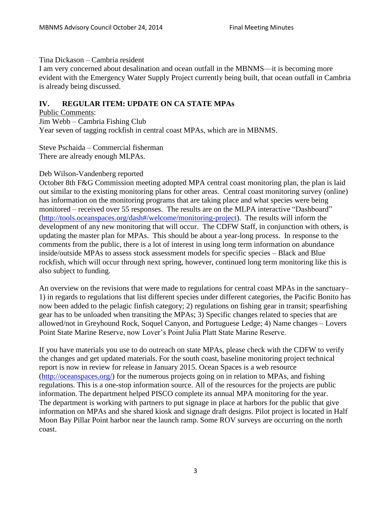#### Tina Dickason – Cambria resident

I am very concerned about desalination and ocean outfall in the MBNMS—it is becoming more evident with the Emergency Water Supply Project currently being built, that ocean outfall in Cambria is already being discussed.

# **IV. REGULAR ITEM: UPDATE ON CA STATE MPAs**

Public Comments: Jim Webb – Cambria Fishing Club Year seven of tagging rockfish in central coast MPAs, which are in MBNMS.

Steve Pschaida – Commercial fisherman There are already enough MLPAs.

#### Deb Wilson-Vandenberg reported

October 8th F&G Commission meeting adopted MPA central coast monitoring plan, the plan is laid out similar to the existing monitoring plans for other areas. Central coast monitoring survey (online) has information on the monitoring programs that are taking place and what species were being monitored – received over 55 responses. The results are on the MLPA interactive "Dashboard" [\(http://tools.oceanspaces.org/dash#/welcome/monitoring-project\)](http://tools.oceanspaces.org/dash%23/welcome/monitoring-project). The results will inform the development of any new monitoring that will occur. The CDFW Staff, in conjunction with others, is updating the master plan for MPAs. This should be about a year-long process. In response to the comments from the public, there is a lot of interest in using long term information on abundance inside/outside MPAs to assess stock assessment models for specific species – Black and Blue rockfish, which will occur through next spring, however, continued long term monitoring like this is also subject to funding.

An overview on the revisions that were made to regulations for central coast MPAs in the sanctuary– 1) in regards to regulations that list different species under different categories, the Pacific Bonito has now been added to the pelagic finfish category; 2) regulations on fishing gear in transit; spearfishing gear has to be unloaded when transiting the MPAs; 3) Specific changes related to species that are allowed/not in Greyhound Rock, Soquel Canyon, and Portuguese Ledge; 4) Name changes – Lovers Point State Marine Reserve, now Lover's Point Julia Platt State Marine Reserve.

If you have materials you use to do outreach on state MPAs, please check with the CDFW to verify the changes and get updated materials. For the south coast, baseline monitoring project technical report is now in review for release in January 2015. Ocean Spaces is a web resource [\(http://oceanspaces.org/\)](http://oceanspaces.org/) for the numerous projects going on in relation to MPAs, and fishing regulations. This is a one-stop information source. All of the resources for the projects are public information. The department helped PISCO complete its annual MPA monitoring for the year. The department is working with partners to put signage in place at harbors for the public that give information on MPAs and she shared kiosk and signage draft designs. Pilot project is located in Half Moon Bay Pillar Point harbor near the launch ramp. Some ROV surveys are occurring on the north coast.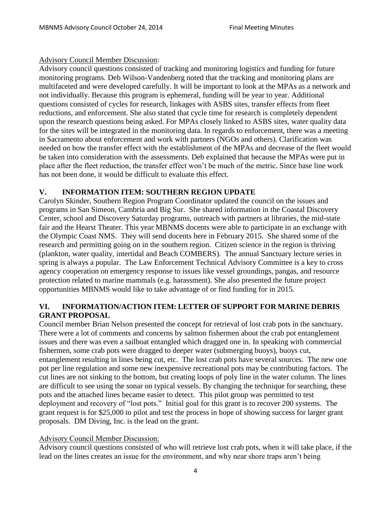## Advisory Council Member Discussion:

Advisory council questions consisted of tracking and monitoring logistics and funding for future monitoring programs. Deb Wilson-Vandenberg noted that the tracking and monitoring plans are multifaceted and were developed carefully. It will be important to look at the MPAs as a network and not individually. Because this program is ephemeral, funding will be year to year. Additional questions consisted of cycles for research, linkages with ASBS sites, transfer effects from fleet reductions, and enforcement. She also stated that cycle time for research is completely dependent upon the research questions being asked. For MPAs closely linked to ASBS sites, water quality data for the sites will be integrated in the monitoring data. In regards to enforcement, there was a meeting in Sacramento about enforcement and work with partners (NGOs and others). Clarification was needed on how the transfer effect with the establishment of the MPAs and decrease of the fleet would be taken into consideration with the assessments. Deb explained that because the MPAs were put in place after the fleet reduction, the transfer effect won't be much of the metric. Since base line work has not been done, it would be difficult to evaluate this effect.

# **V. INFORMATION ITEM: SOUTHERN REGION UPDATE**

Carolyn Skinder, Southern Region Program Coordinator updated the council on the issues and programs in San Simeon, Cambria and Big Sur. She shared information in the Coastal Discovery Center, school and Discovery Saturday programs, outreach with partners at libraries, the mid-state fair and the Hearst Theater. This year MBNMS docents were able to participate in an exchange with the Olympic Coast NMS. They will send docents here in February 2015. She shared some of the research and permitting going on in the southern region. Citizen science in the region is thriving (plankton, water quality, intertidal and Beach COMBERS). The annual Sanctuary lecture series in spring is always a popular. The Law Enforcement Technical Advisory Committee is a key to cross agency cooperation on emergency response to issues like vessel groundings, pangas, and resource protection related to marine mammals (e.g. harassment). She also presented the future project opportunities MBNMS would like to take advantage of or find funding for in 2015.

# **VI. INFORMATION/ACTION ITEM: LETTER OF SUPPORT FOR MARINE DEBRIS GRANT PROPOSAL**

Council member Brian Nelson presented the concept for retrieval of lost crab pots in the sanctuary. There were a lot of comments and concerns by salmon fishermen about the crab pot entanglement issues and there was even a sailboat entangled which dragged one in. In speaking with commercial fishermen, some crab pots were dragged to deeper water (submerging buoys), buoys cut, entanglement resulting in lines being cut, etc. The lost crab pots have several sources. The new one pot per line regulation and some new inexpensive recreational pots may be contributing factors. The cut lines are not sinking to the bottom, but creating loops of poly line in the water column. The lines are difficult to see using the sonar on typical vessels. By changing the technique for searching, these pots and the attached lines became easier to detect. This pilot group was permitted to test deployment and recovery of "lost pots." Initial goal for this grant is to recover 200 systems. The grant request is for \$25,000 to pilot and test the process in hope of showing success for larger grant proposals. DM Diving, Inc. is the lead on the grant.

## Advisory Council Member Discussion:

Advisory council questions consisted of who will retrieve lost crab pots, when it will take place, if the lead on the lines creates an issue for the environment, and why near shore traps aren't being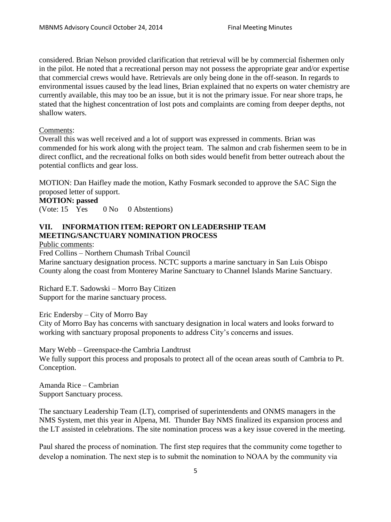considered. Brian Nelson provided clarification that retrieval will be by commercial fishermen only in the pilot. He noted that a recreational person may not possess the appropriate gear and/or expertise that commercial crews would have. Retrievals are only being done in the off-season. In regards to environmental issues caused by the lead lines, Brian explained that no experts on water chemistry are currently available, this may too be an issue, but it is not the primary issue. For near shore traps, he stated that the highest concentration of lost pots and complaints are coming from deeper depths, not shallow waters.

## Comments:

Overall this was well received and a lot of support was expressed in comments. Brian was commended for his work along with the project team. The salmon and crab fishermen seem to be in direct conflict, and the recreational folks on both sides would benefit from better outreach about the potential conflicts and gear loss.

MOTION: Dan Haifley made the motion, Kathy Fosmark seconded to approve the SAC Sign the proposed letter of support.

#### **MOTION: passed**

(Vote: 15 Yes 0 No 0 Abstentions)

# **VII. INFORMATION ITEM: REPORT ON LEADERSHIP TEAM MEETING/SANCTUARY NOMINATION PROCESS**

Public comments:

Fred Collins – Northern Chumash Tribal Council

Marine sanctuary designation process. NCTC supports a marine sanctuary in San Luis Obispo County along the coast from Monterey Marine Sanctuary to Channel Islands Marine Sanctuary.

Richard E.T. Sadowski – Morro Bay Citizen Support for the marine sanctuary process.

Eric Endersby – City of Morro Bay

City of Morro Bay has concerns with sanctuary designation in local waters and looks forward to working with sanctuary proposal proponents to address City's concerns and issues.

Mary Webb – Greenspace-the Cambria Landtrust

We fully support this process and proposals to protect all of the ocean areas south of Cambria to Pt. Conception.

Amanda Rice – Cambrian Support Sanctuary process.

The sanctuary Leadership Team (LT), comprised of superintendents and ONMS managers in the NMS System, met this year in Alpena, MI. Thunder Bay NMS finalized its expansion process and the LT assisted in celebrations. The site nomination process was a key issue covered in the meeting.

Paul shared the process of nomination. The first step requires that the community come together to develop a nomination. The next step is to submit the nomination to NOAA by the community via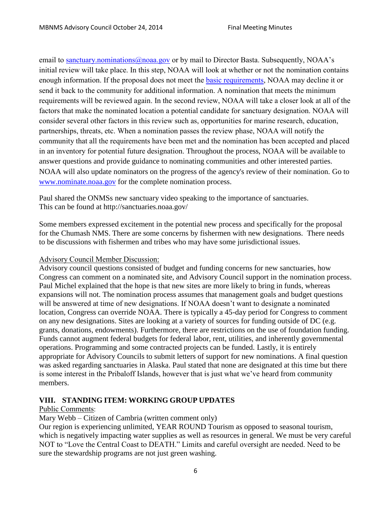email to [sanctuary.nominations@noaa.gov](mailto:sanctuary.nominations@noaa.gov) or by mail to Director Basta. Subsequently, NOAA's initial review will take place. In this step, NOAA will look at whether or not the nomination contains enough information. If the proposal does not meet the [basic requirements,](http://www.nominate.noaa.gov/guide.html) NOAA may decline it or send it back to the community for additional information. A nomination that meets the minimum requirements will be reviewed again. In the second review, NOAA will take a closer look at all of the factors that make the nominated location a potential candidate for sanctuary designation. NOAA will consider several other factors in this review such as, opportunities for marine research, education, partnerships, threats, etc. When a nomination passes the review phase, NOAA will notify the community that all the requirements have been met and the nomination has been accepted and placed in an inventory for potential future designation. Throughout the process, NOAA will be available to answer questions and provide guidance to nominating communities and other interested parties. NOAA will also update nominators on the progress of the agency's review of their nomination. Go to [www.nominate.noaa.gov](http://www.nominate.noaa.gov/) for the complete nomination process.

Paul shared the ONMSs new sanctuary video speaking to the importance of sanctuaries. This can be found at http://sanctuaries.noaa.gov/

Some members expressed excitement in the potential new process and specifically for the proposal for the Chumash NMS. There are some concerns by fishermen with new designations. There needs to be discussions with fishermen and tribes who may have some jurisdictional issues.

#### Advisory Council Member Discussion:

Advisory council questions consisted of budget and funding concerns for new sanctuaries, how Congress can comment on a nominated site, and Advisory Council support in the nomination process. Paul Michel explained that the hope is that new sites are more likely to bring in funds, whereas expansions will not. The nomination process assumes that management goals and budget questions will be answered at time of new designations. If NOAA doesn't want to designate a nominated location, Congress can override NOAA. There is typically a 45-day period for Congress to comment on any new designations. Sites are looking at a variety of sources for funding outside of DC (e.g. grants, donations, endowments). Furthermore, there are restrictions on the use of foundation funding. Funds cannot augment federal budgets for federal labor, rent, utilities, and inherently governmental operations. Programming and some contracted projects can be funded. Lastly, it is entirely appropriate for Advisory Councils to submit letters of support for new nominations. A final question was asked regarding sanctuaries in Alaska. Paul stated that none are designated at this time but there is some interest in the Pribaloff Islands, however that is just what we've heard from community members.

#### **VIII. STANDING ITEM: WORKING GROUP UPDATES**

#### Public Comments:

Mary Webb – Citizen of Cambria (written comment only)

Our region is experiencing unlimited, YEAR ROUND Tourism as opposed to seasonal tourism, which is negatively impacting water supplies as well as resources in general. We must be very careful NOT to "Love the Central Coast to DEATH." Limits and careful oversight are needed. Need to be sure the stewardship programs are not just green washing.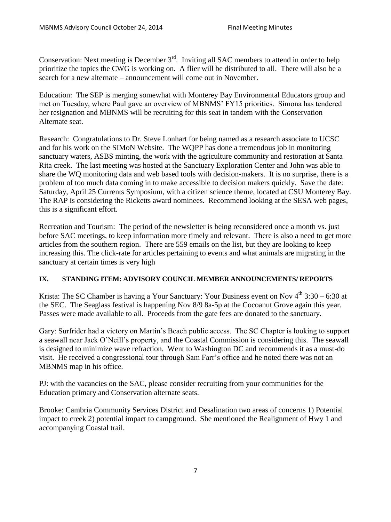Conservation: Next meeting is December  $3<sup>rd</sup>$ . Inviting all SAC members to attend in order to help prioritize the topics the CWG is working on. A flier will be distributed to all. There will also be a search for a new alternate – announcement will come out in November.

Education: The SEP is merging somewhat with Monterey Bay Environmental Educators group and met on Tuesday, where Paul gave an overview of MBNMS' FY15 priorities. Simona has tendered her resignation and MBNMS will be recruiting for this seat in tandem with the Conservation Alternate seat.

Research: Congratulations to Dr. Steve Lonhart for being named as a research associate to UCSC and for his work on the SIMoN Website. The WQPP has done a tremendous job in monitoring sanctuary waters, ASBS minting, the work with the agriculture community and restoration at Santa Rita creek. The last meeting was hosted at the Sanctuary Exploration Center and John was able to share the WQ monitoring data and web based tools with decision-makers. It is no surprise, there is a problem of too much data coming in to make accessible to decision makers quickly. Save the date: Saturday, April 25 Currents Symposium, with a citizen science theme, located at CSU Monterey Bay. The RAP is considering the Ricketts award nominees. Recommend looking at the SESA web pages, this is a significant effort.

Recreation and Tourism: The period of the newsletter is being reconsidered once a month vs. just before SAC meetings, to keep information more timely and relevant. There is also a need to get more articles from the southern region. There are 559 emails on the list, but they are looking to keep increasing this. The click-rate for articles pertaining to events and what animals are migrating in the sanctuary at certain times is very high

## **IX. STANDING ITEM: ADVISORY COUNCIL MEMBER ANNOUNCEMENTS/ REPORTS**

Krista: The SC Chamber is having a Your Sanctuary: Your Business event on Nov  $4<sup>th</sup> 3:30 - 6:30$  at the SEC. The Seaglass festival is happening Nov 8/9 8a-5p at the Cocoanut Grove again this year. Passes were made available to all. Proceeds from the gate fees are donated to the sanctuary.

Gary: Surfrider had a victory on Martin's Beach public access. The SC Chapter is looking to support a seawall near Jack O'Neill's property, and the Coastal Commission is considering this. The seawall is designed to minimize wave refraction. Went to Washington DC and recommends it as a must-do visit. He received a congressional tour through Sam Farr's office and he noted there was not an MBNMS map in his office.

PJ: with the vacancies on the SAC, please consider recruiting from your communities for the Education primary and Conservation alternate seats.

Brooke: Cambria Community Services District and Desalination two areas of concerns 1) Potential impact to creek 2) potential impact to campground. She mentioned the Realignment of Hwy 1 and accompanying Coastal trail.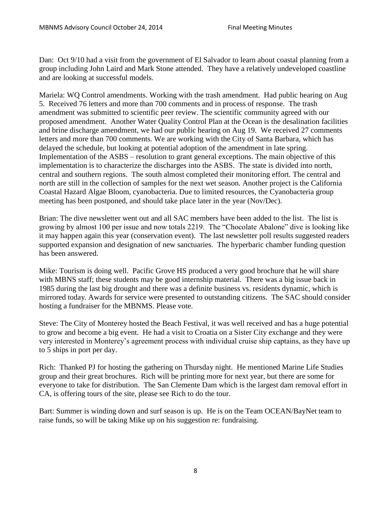Dan: Oct 9/10 had a visit from the government of El Salvador to learn about coastal planning from a group including John Laird and Mark Stone attended. They have a relatively undeveloped coastline and are looking at successful models.

Mariela: WQ Control amendments. Working with the trash amendment. Had public hearing on Aug 5. Received 76 letters and more than 700 comments and in process of response. The trash amendment was submitted to scientific peer review. The scientific community agreed with our proposed amendment. Another Water Quality Control Plan at the Ocean is the desalination facilities and brine discharge amendment, we had our public hearing on Aug 19. We received 27 comments letters and more than 700 comments. We are working with the City of Santa Barbara, which has delayed the schedule, but looking at potential adoption of the amendment in late spring. Implementation of the ASBS – resolution to grant general exceptions. The main objective of this implementation is to characterize the discharges into the ASBS. The state is divided into north, central and southern regions. The south almost completed their monitoring effort. The central and north are still in the collection of samples for the next wet season. Another project is the California Coastal Hazard Algae Bloom, cyanobacteria. Due to limited resources, the Cyanobacteria group meeting has been postponed, and should take place later in the year (Nov/Dec).

Brian: The dive newsletter went out and all SAC members have been added to the list. The list is growing by almost 100 per issue and now totals 2219. The "Chocolate Abalone" dive is looking like it may happen again this year (conservation event). The last newsletter poll results suggested readers supported expansion and designation of new sanctuaries. The hyperbaric chamber funding question has been answered.

Mike: Tourism is doing well. Pacific Grove HS produced a very good brochure that he will share with MBNS staff; these students may be good internship material. There was a big issue back in 1985 during the last big drought and there was a definite business vs. residents dynamic, which is mirrored today. Awards for service were presented to outstanding citizens. The SAC should consider hosting a fundraiser for the MBNMS. Please vote.

Steve: The City of Monterey hosted the Beach Festival, it was well received and has a huge potential to grow and become a big event. He had a visit to Croatia on a Sister City exchange and they were very interested in Monterey's agreement process with individual cruise ship captains, as they have up to 5 ships in port per day.

Rich: Thanked PJ for hosting the gathering on Thursday night. He mentioned Marine Life Studies group and their great brochures. Rich will be printing more for next year, but there are some for everyone to take for distribution. The San Clemente Dam which is the largest dam removal effort in CA, is offering tours of the site, please see Rich to do the tour.

Bart: Summer is winding down and surf season is up. He is on the Team OCEAN/BayNet team to raise funds, so will be taking Mike up on his suggestion re: fundraising.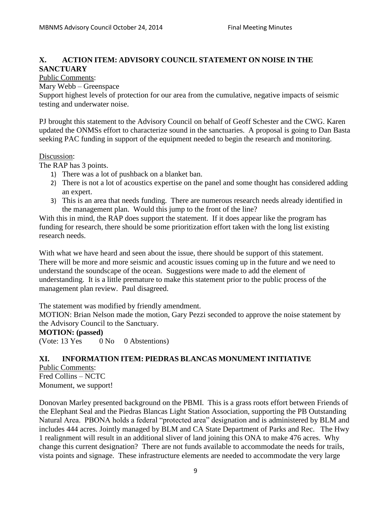# **X. ACTION ITEM: ADVISORY COUNCIL STATEMENT ON NOISE IN THE SANCTUARY**

#### Public Comments:

Mary Webb – Greenspace

Support highest levels of protection for our area from the cumulative, negative impacts of seismic testing and underwater noise.

PJ brought this statement to the Advisory Council on behalf of Geoff Schester and the CWG. Karen updated the ONMSs effort to characterize sound in the sanctuaries. A proposal is going to Dan Basta seeking PAC funding in support of the equipment needed to begin the research and monitoring.

#### Discussion:

The RAP has 3 points.

- 1) There was a lot of pushback on a blanket ban.
- 2) There is not a lot of acoustics expertise on the panel and some thought has considered adding an expert.
- 3) This is an area that needs funding. There are numerous research needs already identified in the management plan. Would this jump to the front of the line?

With this in mind, the RAP does support the statement. If it does appear like the program has funding for research, there should be some prioritization effort taken with the long list existing research needs.

With what we have heard and seen about the issue, there should be support of this statement. There will be more and more seismic and acoustic issues coming up in the future and we need to understand the soundscape of the ocean. Suggestions were made to add the element of understanding. It is a little premature to make this statement prior to the public process of the management plan review. Paul disagreed.

The statement was modified by friendly amendment.

MOTION: Brian Nelson made the motion, Gary Pezzi seconded to approve the noise statement by the Advisory Council to the Sanctuary.

#### **MOTION: (passed)**

(Vote: 13 Yes 0 No 0 Abstentions)

## **XI. INFORMATION ITEM: PIEDRAS BLANCAS MONUMENT INITIATIVE**

Public Comments: Fred Collins – NCTC Monument, we support!

Donovan Marley presented background on the PBMI. This is a grass roots effort between Friends of the Elephant Seal and the Piedras Blancas Light Station Association, supporting the PB Outstanding Natural Area. PBONA holds a federal "protected area" designation and is administered by BLM and includes 444 acres. Jointly managed by BLM and CA State Department of Parks and Rec. The Hwy 1 realignment will result in an additional sliver of land joining this ONA to make 476 acres. Why change this current designation? There are not funds available to accommodate the needs for trails, vista points and signage. These infrastructure elements are needed to accommodate the very large